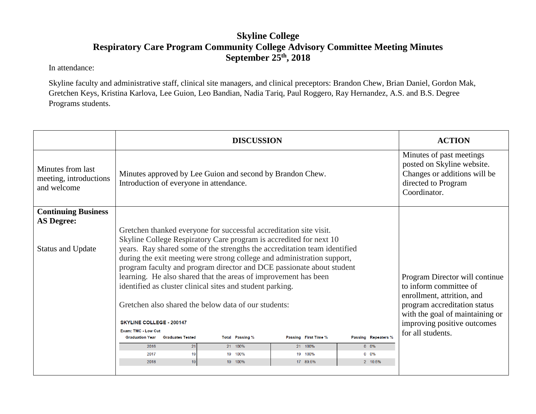## **Skyline College Respiratory Care Program Community College Advisory Committee Meeting Minutes September 25th, 2018**

In attendance:

Skyline faculty and administrative staff, clinical site managers, and clinical preceptors: Brandon Chew, Brian Daniel, Gordon Mak, Gretchen Keys, Kristina Karlova, Lee Guion, Leo Bandian, Nadia Tariq, Paul Roggero, Ray Hernandez, A.S. and B.S. Degree Programs students.

|                                                            | <b>DISCUSSION</b>                                                                                                                        |                                                                                                                               | <b>ACTION</b>               |  |
|------------------------------------------------------------|------------------------------------------------------------------------------------------------------------------------------------------|-------------------------------------------------------------------------------------------------------------------------------|-----------------------------|--|
| Minutes from last<br>meeting, introductions<br>and welcome | Minutes approved by Lee Guion and second by Brandon Chew.<br>Introduction of everyone in attendance.                                     | Minutes of past meetings<br>posted on Skyline website.<br>Changes or additions will be<br>directed to Program<br>Coordinator. |                             |  |
| <b>Continuing Business</b><br><b>AS Degree:</b>            |                                                                                                                                          |                                                                                                                               |                             |  |
|                                                            | Gretchen thanked everyone for successful accreditation site visit.<br>Skyline College Respiratory Care program is accredited for next 10 |                                                                                                                               |                             |  |
| <b>Status and Update</b>                                   | years. Ray shared some of the strengths the accreditation team identified                                                                |                                                                                                                               |                             |  |
|                                                            | during the exit meeting were strong college and administration support,                                                                  |                                                                                                                               |                             |  |
|                                                            | program faculty and program director and DCE passionate about student                                                                    |                                                                                                                               |                             |  |
|                                                            | learning. He also shared that the areas of improvement has been<br>identified as cluster clinical sites and student parking.             | Program Director will continue<br>to inform committee of                                                                      |                             |  |
|                                                            |                                                                                                                                          | enrollment, attrition, and                                                                                                    |                             |  |
|                                                            | Gretchen also shared the below data of our students:                                                                                     | program accreditation status                                                                                                  |                             |  |
|                                                            |                                                                                                                                          | with the goal of maintaining or                                                                                               |                             |  |
|                                                            | <b>SKYLINE COLLEGE - 200147</b><br>Exam: TMC - Low Cut                                                                                   |                                                                                                                               | improving positive outcomes |  |
|                                                            | <b>Graduation Year</b><br><b>Graduates Tested</b><br><b>Total Passing %</b>                                                              | Passing Repeaters %<br>Passing First Time %                                                                                   | for all students.           |  |
|                                                            | 21<br>2016<br>21 100%                                                                                                                    | 21 100%<br>$0\quad 0\%$                                                                                                       |                             |  |
|                                                            | 19<br>2017<br>19 100%                                                                                                                    | $0\quad 0\%$<br>19 100%                                                                                                       |                             |  |
|                                                            | 19<br>2018<br>19 100%                                                                                                                    | 17 89.5%<br>2 10.5%                                                                                                           |                             |  |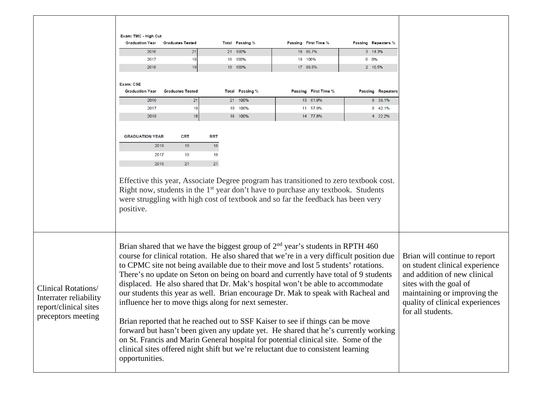|                                                                                                     | Exam: TMC - High Cut<br><b>Graduation Year</b><br>2016<br>2017<br>2018<br><b>Exam: CSE</b><br><b>Graduation Year</b><br>2016<br>2017 | <b>Graduates Tested</b><br>21<br>19<br>19<br><b>Graduates Tested</b><br>21<br>19                                                                                                                                                                                                                                                                                                                                                                                                                                                                                                                                                                                                                                                                                                                                                                                                                                                                              | <b>Total Passing %</b><br>21 100%<br>19 100%<br>19 100%<br><b>Total Passing %</b><br>21 100%<br>19 100% | Passing First Time %<br>18 85.7%<br>19 100%<br>17 89.5%<br>Passing First Time %<br>13 61.9%<br>11 57.9%                                                                                                                                                                                | <b>Passing Repeaters %</b><br>3 14.3%<br>$0 0\%$<br>2 10.5%<br><b>Passing Repeaters</b><br>8 38.1%<br>8 42.1% |  |
|-----------------------------------------------------------------------------------------------------|--------------------------------------------------------------------------------------------------------------------------------------|---------------------------------------------------------------------------------------------------------------------------------------------------------------------------------------------------------------------------------------------------------------------------------------------------------------------------------------------------------------------------------------------------------------------------------------------------------------------------------------------------------------------------------------------------------------------------------------------------------------------------------------------------------------------------------------------------------------------------------------------------------------------------------------------------------------------------------------------------------------------------------------------------------------------------------------------------------------|---------------------------------------------------------------------------------------------------------|----------------------------------------------------------------------------------------------------------------------------------------------------------------------------------------------------------------------------------------------------------------------------------------|---------------------------------------------------------------------------------------------------------------|--|
|                                                                                                     | 2018<br><b>GRADUATION YEAR</b><br>2018<br>2017<br>2016<br>positive.                                                                  | 18<br><b>CRT</b><br>19<br>19<br>21                                                                                                                                                                                                                                                                                                                                                                                                                                                                                                                                                                                                                                                                                                                                                                                                                                                                                                                            | 18 100%<br><b>RRT</b><br>18<br>19<br>21                                                                 | 14 77.8%<br>Effective this year, Associate Degree program has transitioned to zero textbook cost.<br>Right now, students in the 1 <sup>st</sup> year don't have to purchase any textbook. Students<br>were struggling with high cost of textbook and so far the feedback has been very | 4 22.2%                                                                                                       |  |
| <b>Clinical Rotations/</b><br>Interrater reliability<br>report/clinical sites<br>preceptors meeting |                                                                                                                                      | Brian shared that we have the biggest group of $2nd$ year's students in RPTH 460<br>course for clinical rotation. He also shared that we're in a very difficult position due<br>to CPMC site not being available due to their move and lost 5 students' rotations.<br>There's no update on Seton on being on board and currently have total of 9 students<br>displaced. He also shared that Dr. Mak's hospital won't be able to accommodate<br>our students this year as well. Brian encourage Dr. Mak to speak with Racheal and<br>influence her to move thigs along for next semester.<br>Brian reported that he reached out to SSF Kaiser to see if things can be move<br>forward but hasn't been given any update yet. He shared that he's currently working<br>on St. Francis and Marin General hospital for potential clinical site. Some of the<br>clinical sites offered night shift but we're reluctant due to consistent learning<br>opportunities. |                                                                                                         | Brian will continue to report<br>on student clinical experience<br>and addition of new clinical<br>sites with the goal of<br>maintaining or improving the<br>quality of clinical experiences<br>for all students.                                                                      |                                                                                                               |  |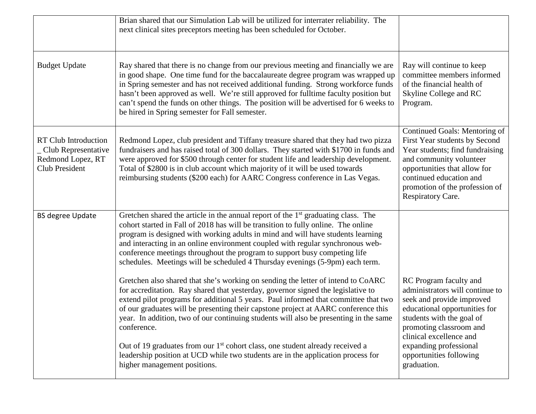|                                                                                                    | Brian shared that our Simulation Lab will be utilized for interrater reliability. The<br>next clinical sites preceptors meeting has been scheduled for October.                                                                                                                                                                                                                                                                                                                                            |                                                                                                                                                                                                                                                |
|----------------------------------------------------------------------------------------------------|------------------------------------------------------------------------------------------------------------------------------------------------------------------------------------------------------------------------------------------------------------------------------------------------------------------------------------------------------------------------------------------------------------------------------------------------------------------------------------------------------------|------------------------------------------------------------------------------------------------------------------------------------------------------------------------------------------------------------------------------------------------|
| <b>Budget Update</b>                                                                               | Ray shared that there is no change from our previous meeting and financially we are<br>in good shape. One time fund for the baccalaureate degree program was wrapped up<br>in Spring semester and has not received additional funding. Strong workforce funds<br>hasn't been approved as well. We're still approved for fulltime faculty position but<br>can't spend the funds on other things. The position will be advertised for 6 weeks to<br>be hired in Spring semester for Fall semester.           | Ray will continue to keep<br>committee members informed<br>of the financial health of<br>Skyline College and RC<br>Program.                                                                                                                    |
| <b>RT Club Introduction</b><br>_ Club Representative<br>Redmond Lopez, RT<br><b>Club President</b> | Redmond Lopez, club president and Tiffany treasure shared that they had two pizza<br>fundraisers and has raised total of 300 dollars. They started with \$1700 in funds and<br>were approved for \$500 through center for student life and leadership development.<br>Total of \$2800 is in club account which majority of it will be used towards<br>reimbursing students (\$200 each) for AARC Congress conference in Las Vegas.                                                                         | Continued Goals: Mentoring of<br>First Year students by Second<br>Year students; find fundraising<br>and community volunteer<br>opportunities that allow for<br>continued education and<br>promotion of the profession of<br>Respiratory Care. |
| <b>BS degree Update</b>                                                                            | Gretchen shared the article in the annual report of the $1st$ graduating class. The<br>cohort started in Fall of 2018 has will be transition to fully online. The online<br>program is designed with working adults in mind and will have students learning<br>and interacting in an online environment coupled with regular synchronous web-<br>conference meetings throughout the program to support busy competing life<br>schedules. Meetings will be scheduled 4 Thursday evenings (5-9pm) each term. |                                                                                                                                                                                                                                                |
|                                                                                                    | Gretchen also shared that she's working on sending the letter of intend to CoARC<br>for accreditation. Ray shared that yesterday, governor signed the legislative to<br>extend pilot programs for additional 5 years. Paul informed that committee that two<br>of our graduates will be presenting their capstone project at AARC conference this<br>year. In addition, two of our continuing students will also be presenting in the same<br>conference.                                                  | RC Program faculty and<br>administrators will continue to<br>seek and provide improved<br>educational opportunities for<br>students with the goal of<br>promoting classroom and<br>clinical excellence and                                     |
|                                                                                                    | Out of 19 graduates from our 1 <sup>st</sup> cohort class, one student already received a<br>leadership position at UCD while two students are in the application process for<br>higher management positions.                                                                                                                                                                                                                                                                                              | expanding professional<br>opportunities following<br>graduation.                                                                                                                                                                               |